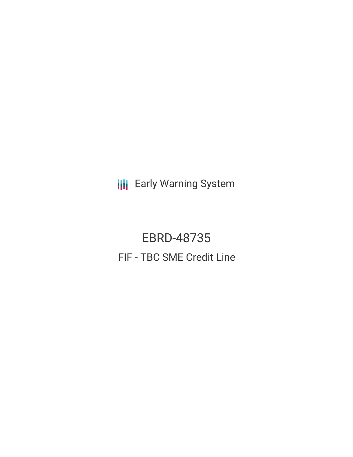**III** Early Warning System

EBRD-48735 FIF - TBC SME Credit Line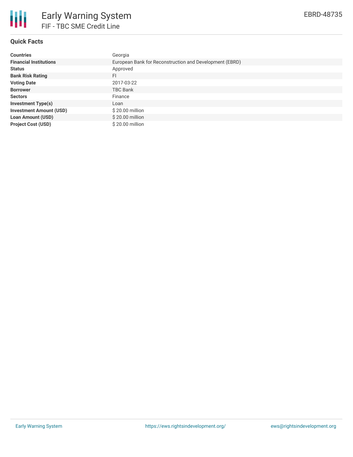

# **Quick Facts**

| <b>Countries</b>               | Georgia                                                 |
|--------------------------------|---------------------------------------------------------|
| <b>Financial Institutions</b>  | European Bank for Reconstruction and Development (EBRD) |
| <b>Status</b>                  | Approved                                                |
| <b>Bank Risk Rating</b>        | FI                                                      |
| <b>Voting Date</b>             | 2017-03-22                                              |
| <b>Borrower</b>                | <b>TBC Bank</b>                                         |
| <b>Sectors</b>                 | Finance                                                 |
| <b>Investment Type(s)</b>      | Loan                                                    |
| <b>Investment Amount (USD)</b> | \$20.00 million                                         |
| <b>Loan Amount (USD)</b>       | \$20.00 million                                         |
| <b>Project Cost (USD)</b>      | \$20.00 million                                         |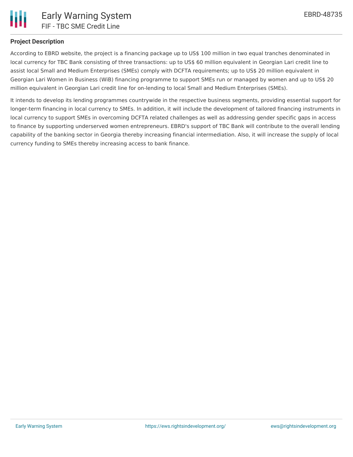

## **Project Description**

According to EBRD website, the project is a financing package up to US\$ 100 million in two equal tranches denominated in local currency for TBC Bank consisting of three transactions: up to US\$ 60 million equivalent in Georgian Lari credit line to assist local Small and Medium Enterprises (SMEs) comply with DCFTA requirements; up to US\$ 20 million equivalent in Georgian Lari Women in Business (WiB) financing programme to support SMEs run or managed by women and up to US\$ 20 million equivalent in Georgian Lari credit line for on-lending to local Small and Medium Enterprises (SMEs).

It intends to develop its lending programmes countrywide in the respective business segments, providing essential support for longer-term financing in local currency to SMEs. In addition, it will include the development of tailored financing instruments in local currency to support SMEs in overcoming DCFTA related challenges as well as addressing gender specific gaps in access to finance by supporting underserved women entrepreneurs. EBRD's support of TBC Bank will contribute to the overall lending capability of the banking sector in Georgia thereby increasing financial intermediation. Also, it will increase the supply of local currency funding to SMEs thereby increasing access to bank finance.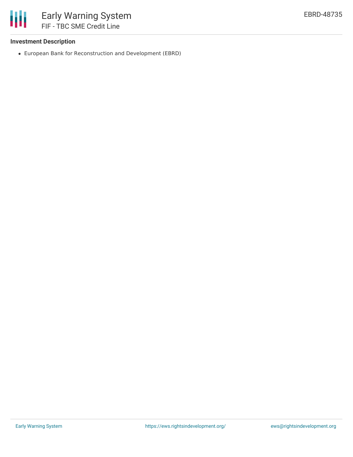

### **Investment Description**

European Bank for Reconstruction and Development (EBRD)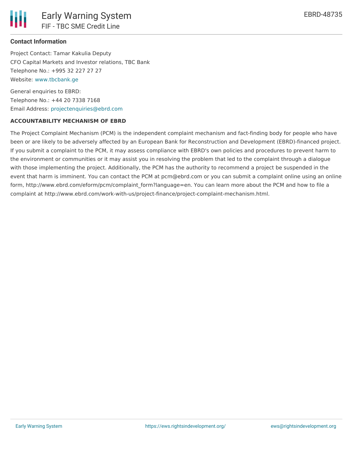

## **Contact Information**

Project Contact: Tamar Kakulia Deputy CFO Capital Markets and Investor relations, TBC Bank Telephone No.: +995 32 227 27 27 Website: [www.tbcbank.ge](http://www.tbcbank.ge/)

General enquiries to EBRD: Telephone No.: +44 20 7338 7168 Email Address: [projectenquiries@ebrd.com](mailto:projectenquiries@ebrd.com)

#### **ACCOUNTABILITY MECHANISM OF EBRD**

The Project Complaint Mechanism (PCM) is the independent complaint mechanism and fact-finding body for people who have been or are likely to be adversely affected by an European Bank for Reconstruction and Development (EBRD)-financed project. If you submit a complaint to the PCM, it may assess compliance with EBRD's own policies and procedures to prevent harm to the environment or communities or it may assist you in resolving the problem that led to the complaint through a dialogue with those implementing the project. Additionally, the PCM has the authority to recommend a project be suspended in the event that harm is imminent. You can contact the PCM at pcm@ebrd.com or you can submit a complaint online using an online form, http://www.ebrd.com/eform/pcm/complaint\_form?language=en. You can learn more about the PCM and how to file a complaint at http://www.ebrd.com/work-with-us/project-finance/project-complaint-mechanism.html.